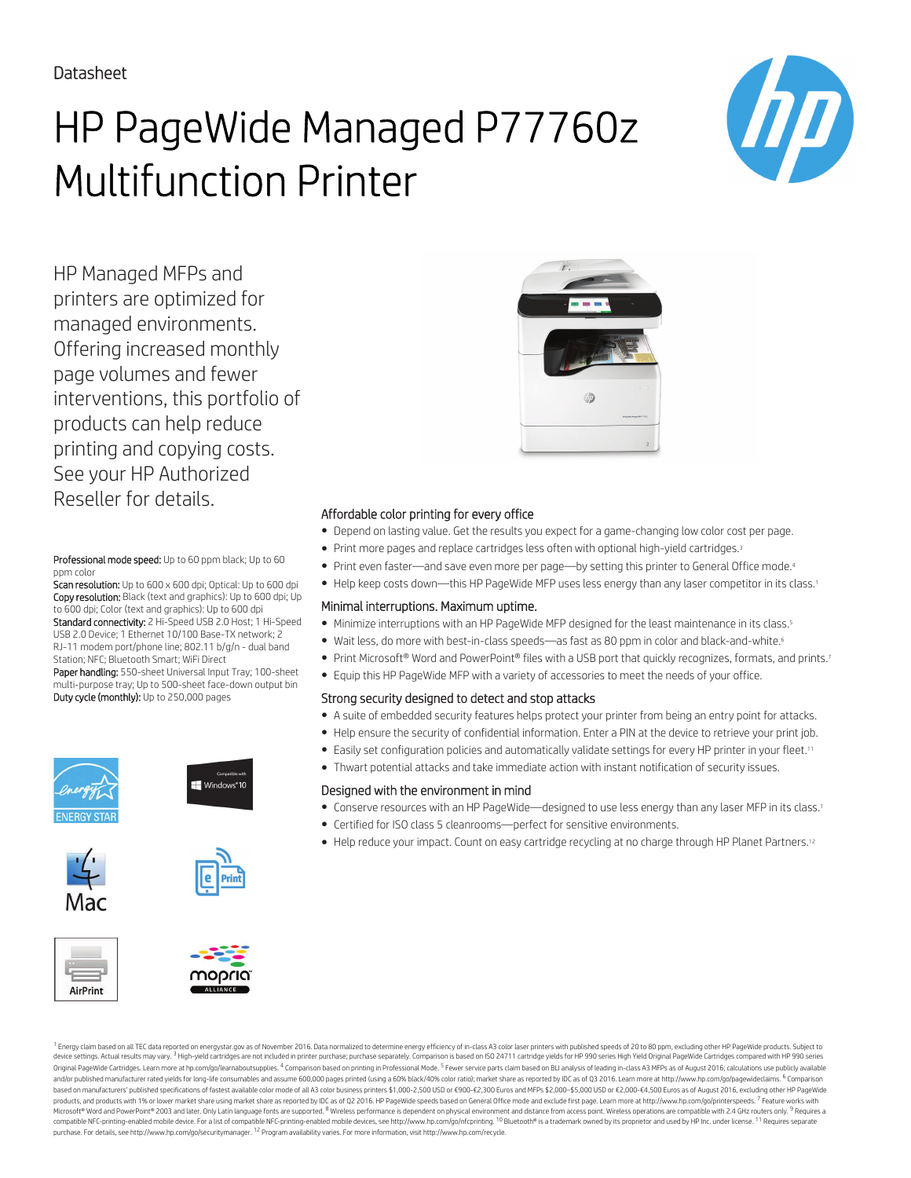# HP PageWide Managed P77760z Multifunction Printer



HP Managed MFPs and printers are optimized for managed environments. Offering increased monthly page volumes and fewer interventions, this portfolio of products can help reduce printing and copying costs. See your HP Authorized Reseller for details.

Professional mode speed: Up to 60 ppm black; Up to 60 ppm colo

Scan resolution: Up to 600 x 600 dpi; Optical: Up to 600 dpi Copy resolution: Black (text and graphics): Up to 600 dpi; Up to 600 dpi; Color (text and graphics): Up to 600 dpi Standard connectivity: 2 Hi-Speed USB 2.0 Host; 1 Hi-Speed USB 2.0 Device; 1 Ethernet 10/100 Base-TX network; 2 RJ-11 modem port/phone line; 802.11 b/g/n - dual band

Station; NFC; Bluetooth Smart; WiFi Direct Paper handling: 550-sheet Universal Input Tray; 100-sheet multi-purpose tray; Up to 500-sheet face-down output bin Duty cycle (monthly): Up to 250,000 pages



## Windows<sup>®</sup>10









#### Affordable color printing for every office

- Depend on lasting value. Get the results you expect for a game-changing low color cost per page.
- Print more pages and replace cartridges less often with optional high-yield cartridges.<sup>3</sup>
- Print even faster—and save even more per page—by setting this printer to General Office mode.<sup>4</sup>
- . Help keep costs down—this HP PageWide MFP uses less energy than any laser competitor in its class.<sup>1</sup>

#### Minimal interruptions. Maximum uptime.

- Minimize interruptions with an HP PageWide MFP designed for the least maintenance in its class.<sup>5</sup>
- Wait less, do more with best-in-class speeds—as fast as 80 ppm in color and black-and-white.<sup>6</sup>
- Print Microsoft® Word and PowerPoint® files with a USB port that quickly recognizes, formats, and prints.7
- Equip this HP PageWide MFP with a variety of accessories to meet the needs of your office.

#### Strong security designed to detect and stop attacks

- A suite of embedded security features helps protect your printer from being an entry point for attacks.
- Help ensure the security of confidential information. Enter a PIN at the device to retrieve your print job.
- Easily set configuration policies and automatically validate settings for every HP printer in your fleet.<sup>11</sup>
- Thwart potential attacks and take immediate action with instant notification of security issues.

#### Designed with the environment in mind

- Conserve resources with an HP PageWide—designed to use less energy than any laser MFP in its class.<sup>1</sup>
- Certified for ISO class 5 cleanrooms—perfect for sensitive environments.
- Help reduce your impact. Count on easy cartridge recycling at no charge through HP Planet Partners.<sup>12</sup>

<sup>1</sup> Energy claim based on all TEC data reported on energystar.gov as of November 2016. Data normalized to determine energy efficiency of in-class A3 color laser printers with published speeds of 20 to 80 ppm, excluding oth Original PageWide Cartridges. Learn more at hp.com/go/learnaboutsupplies. <sup>4</sup> Comparison based on printing in Professional Mode. <sup>5</sup> Fewer service parts claim based on BLI analysis of leading in-class A3 MFPs as of August and/or published manufacturer rated yields for long-life consumables and assume 600,000 pages printed (using a 60% black/40% color ratio); market share as reported by IDC as of Q3 2016. Learn more at http://www.hp.com/go/p based on manufacturers' published specifications of fastest available color mode of all A3 color business printers \$1,000-2,500 USD or £900-£2,300 Euros and MEPs \$2,000-\$5,000 USD or £2,000-\$5,000 USD or £2,000-\$5,000 USD products, and products with 1% or lower market share using market share as reported by IDC as of Q2 2016. HP PageWide speeds based on General Office mode and exclude first page. Learn more at http://www.hp.com/go/printersp Microsoft® Word and PowerPoint® 2003 and later. Only Latin language fonts are supported. <sup>8</sup> Wireless performance is dependent on physical environment and distance from access point. Wireless operations are compatible with purchase. For details, see http://www.hp.com/go/securitymanager. 12 Program availability varies. For more information, visit http://www.hp.com/recycle.